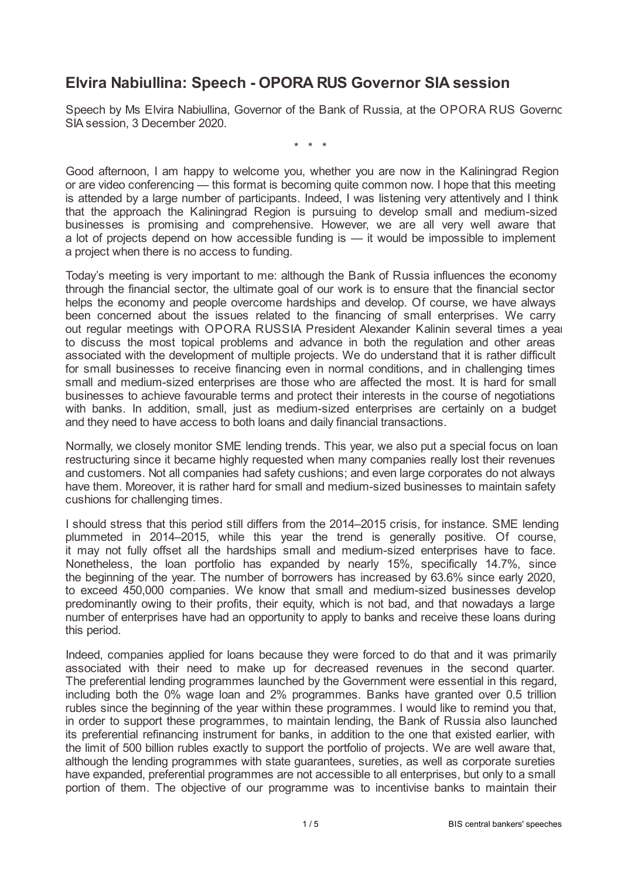## **Elvira Nabiullina: Speech - OPORA RUS Governor SIA session**

Speech by Ms Elvira Nabiullina, Governor of the Bank of Russia, at the OPORA RUS Governor SIA session, 3 December 2020.

\* \* \*

Good afternoon, I am happy to welcome you, whether you are now in the Kaliningrad Region or are video conferencing — this format is becoming quite common now. I hope that this meeting is attended by a large number of participants. Indeed, I was listening very attentively and I think that the approach the Kaliningrad Region is pursuing to develop small and medium-sized businesses is promising and comprehensive. However, we are all very well aware that a lot of projects depend on how accessible funding is — it would be impossible to implement a project when there is no access to funding.

Today's meeting is very important to me: although the Bank of Russia influences the economy through the financial sector, the ultimate goal of our work is to ensure that the financial sector helps the economy and people overcome hardships and develop. Of course, we have always been concerned about the issues related to the financing of small enterprises. We carry out regular meetings with OPORA RUSSIA President Alexander Kalinin several times a year to discuss the most topical problems and advance in both the regulation and other areas associated with the development of multiple projects. We do understand that it is rather difficult for small businesses to receive financing even in normal conditions, and in challenging times small and medium-sized enterprises are those who are affected the most. It is hard for small businesses to achieve favourable terms and protect their interests in the course of negotiations with banks. In addition, small, just as medium-sized enterprises are certainly on a budget and they need to have access to both loans and daily financial transactions.

Normally, we closely monitor SME lending trends. This year, we also put a special focus on loan restructuring since it became highly requested when many companies really lost their revenues and customers. Not all companies had safety cushions; and even large corporates do not always have them. Moreover, it is rather hard for small and medium-sized businesses to maintain safety cushions for challenging times.

I should stress that this period still differs from the 2014–2015 crisis, for instance. SME lending plummeted in 2014–2015, while this year the trend is generally positive. Of course, it may not fully offset all the hardships small and medium-sized enterprises have to face. Nonetheless, the loan portfolio has expanded by nearly 15%, specifically 14.7%, since the beginning of the year. The number of borrowers has increased by 63.6% since early 2020, to exceed 450,000 companies. We know that small and medium-sized businesses develop predominantly owing to their profits, their equity, which is not bad, and that nowadays a large number of enterprises have had an opportunity to apply to banks and receive these loans during this period.

Indeed, companies applied for loans because they were forced to do that and it was primarily associated with their need to make up for decreased revenues in the second quarter. The preferential lending programmes launched by the Government were essential in this regard, including both the 0% wage loan and 2% programmes. Banks have granted over 0.5 trillion rubles since the beginning of the year within these programmes. I would like to remind you that, in order to support these programmes, to maintain lending, the Bank of Russia also launched its preferential refinancing instrument for banks, in addition to the one that existed earlier, with the limit of 500 billion rubles exactly to support the portfolio of projects. We are well aware that, although the lending programmes with state guarantees, sureties, as well as corporate sureties have expanded, preferential programmes are not accessible to all enterprises, but only to a small portion of them. The objective of our programme was to incentivise banks to maintain their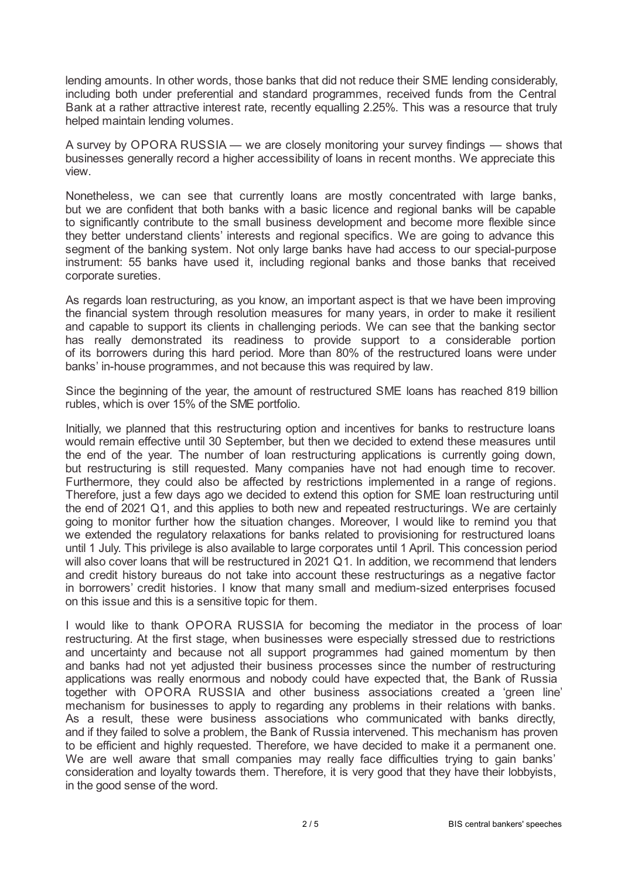lending amounts. In other words, those banks that did not reduce their SME lending considerably, including both under preferential and standard programmes, received funds from the Central Bank at a rather attractive interest rate, recently equalling 2.25%. This was a resource that truly helped maintain lending volumes.

A survey by OPORA RUSSIA — we are closely monitoring your survey findings — shows that businesses generally record a higher accessibility of loans in recent months. We appreciate this view.

Nonetheless, we can see that currently loans are mostly concentrated with large banks, but we are confident that both banks with a basic licence and regional banks will be capable to significantly contribute to the small business development and become more flexible since they better understand clients' interests and regional specifics. We are going to advance this segment of the banking system. Not only large banks have had access to our special-purpose instrument: 55 banks have used it, including regional banks and those banks that received corporate sureties.

As regards loan restructuring, as you know, an important aspect is that we have been improving the financial system through resolution measures for many years, in order to make it resilient and capable to support its clients in challenging periods. We can see that the banking sector has really demonstrated its readiness to provide support to a considerable portion of its borrowers during this hard period. More than 80% of the restructured loans were under banks' in-house programmes, and not because this was required by law.

Since the beginning of the year, the amount of restructured SME loans has reached 819 billion rubles, which is over 15% of the SME portfolio.

Initially, we planned that this restructuring option and incentives for banks to restructure loans would remain effective until 30 September, but then we decided to extend these measures until the end of the year. The number of loan restructuring applications is currently going down, but restructuring is still requested. Many companies have not had enough time to recover. Furthermore, they could also be affected by restrictions implemented in a range of regions. Therefore, just a few days ago we decided to extend this option for SME loan restructuring until the end of 2021 Q1, and this applies to both new and repeated restructurings. We are certainly going to monitor further how the situation changes. Moreover, I would like to remind you that we extended the regulatory relaxations for banks related to provisioning for restructured loans until 1 July. This privilege is also available to large corporates until 1 April. This concession period will also cover loans that will be restructured in 2021 Q1. In addition, we recommend that lenders and credit history bureaus do not take into account these restructurings as a negative factor in borrowers' credit histories. I know that many small and medium-sized enterprises focused on this issue and this is a sensitive topic for them.

I would like to thank OPORA RUSSIA for becoming the mediator in the process of loan restructuring. At the first stage, when businesses were especially stressed due to restrictions and uncertainty and because not all support programmes had gained momentum by then and banks had not yet adjusted their business processes since the number of restructuring applications was really enormous and nobody could have expected that, the Bank of Russia together with OPORA RUSSIA and other business associations created a 'green line' mechanism for businesses to apply to regarding any problems in their relations with banks. As a result, these were business associations who communicated with banks directly, and if they failed to solve a problem, the Bank of Russia intervened. This mechanism has proven to be efficient and highly requested. Therefore, we have decided to make it a permanent one. We are well aware that small companies may really face difficulties trying to gain banks' consideration and loyalty towards them. Therefore, it is very good that they have their lobbyists, in the good sense of the word.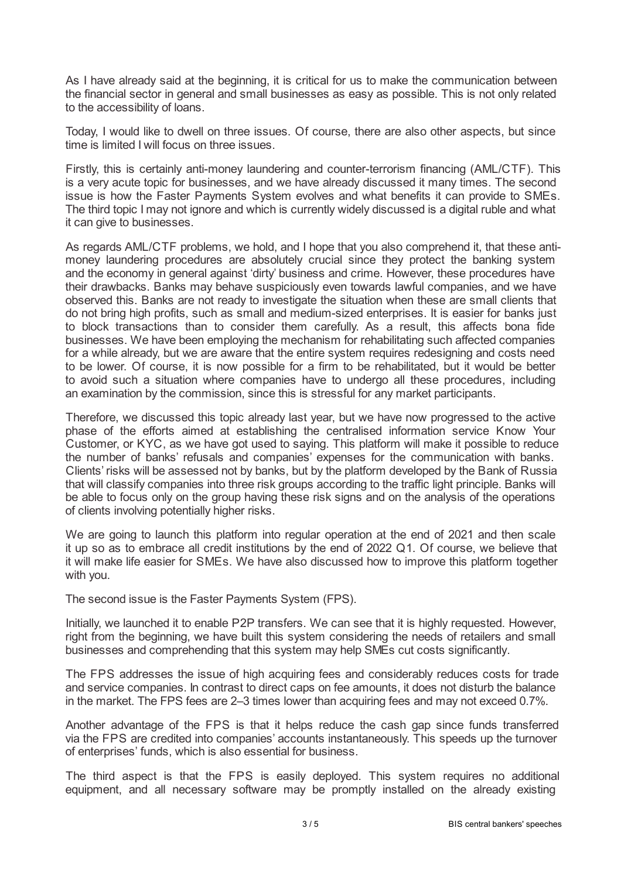As I have already said at the beginning, it is critical for us to make the communication between the financial sector in general and small businesses as easy as possible. This is not only related to the accessibility of loans.

Today, I would like to dwell on three issues. Of course, there are also other aspects, but since time is limited I will focus on three issues.

Firstly, this is certainly anti-money laundering and counter-terrorism financing (AML/CTF). This is a very acute topic for businesses, and we have already discussed it many times. The second issue is how the Faster Payments System evolves and what benefits it can provide to SMEs. The third topic I may not ignore and which is currently widely discussed is a digital ruble and what it can give to businesses.

As regards AML/CTF problems, we hold, and I hope that you also comprehend it, that these antimoney laundering procedures are absolutely crucial since they protect the banking system and the economy in general against 'dirty' business and crime. However, these procedures have their drawbacks. Banks may behave suspiciously even towards lawful companies, and we have observed this. Banks are not ready to investigate the situation when these are small clients that do not bring high profits, such as small and medium-sized enterprises. It is easier for banks just to block transactions than to consider them carefully. As a result, this affects bona fide businesses. We have been employing the mechanism for rehabilitating such affected companies for a while already, but we are aware that the entire system requires redesigning and costs need to be lower. Of course, it is now possible for a firm to be rehabilitated, but it would be better to avoid such a situation where companies have to undergo all these procedures, including an examination by the commission, since this is stressful for any market participants.

Therefore, we discussed this topic already last year, but we have now progressed to the active phase of the efforts aimed at establishing the centralised information service Know Your Customer, or KYC, as we have got used to saying. This platform will make it possible to reduce the number of banks' refusals and companies' expenses for the communication with banks. Clients' risks will be assessed not by banks, but by the platform developed by the Bank of Russia that will classify companies into three risk groups according to the traffic light principle. Banks will be able to focus only on the group having these risk signs and on the analysis of the operations of clients involving potentially higher risks.

We are going to launch this platform into regular operation at the end of 2021 and then scale it up so as to embrace all credit institutions by the end of 2022 Q1. Of course, we believe that it will make life easier for SMEs. We have also discussed how to improve this platform together with you.

The second issue is the Faster Payments System (FPS).

Initially, we launched it to enable P2P transfers. We can see that it is highly requested. However, right from the beginning, we have built this system considering the needs of retailers and small businesses and comprehending that this system may help SMEs cut costs significantly.

The FPS addresses the issue of high acquiring fees and considerably reduces costs for trade and service companies. In contrast to direct caps on fee amounts, it does not disturb the balance in the market. The FPS fees are 2–3 times lower than acquiring fees and may not exceed 0.7%.

Another advantage of the FPS is that it helps reduce the cash gap since funds transferred via the FPS are credited into companies' accounts instantaneously. This speeds up the turnover of enterprises' funds, which is also essential for business.

The third aspect is that the FPS is easily deployed. This system requires no additional equipment, and all necessary software may be promptly installed on the already existing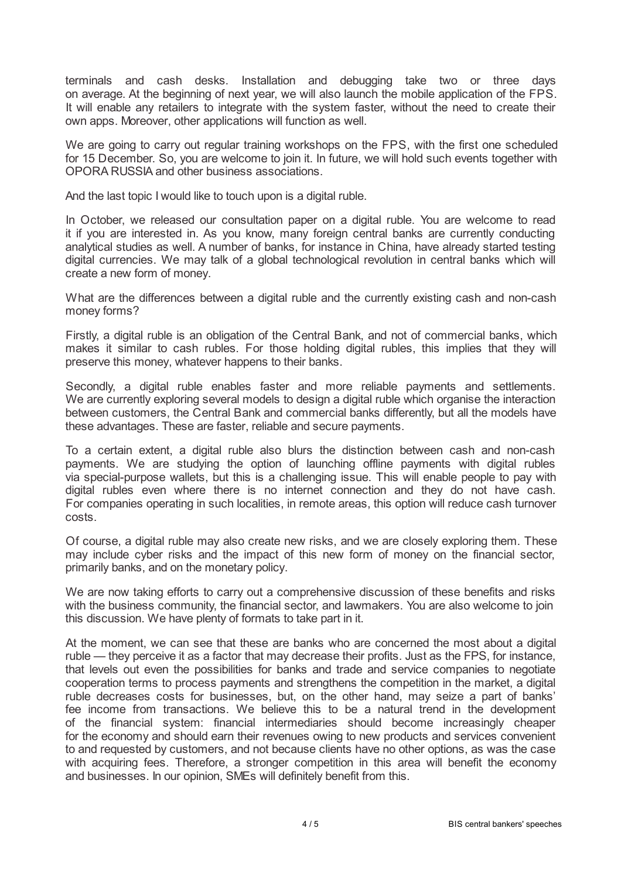terminals and cash desks. Installation and debugging take two or three days on average. At the beginning of next year, we will also launch the mobile application of the FPS. It will enable any retailers to integrate with the system faster, without the need to create their own apps. Moreover, other applications will function as well.

We are going to carry out regular training workshops on the FPS, with the first one scheduled for 15 December. So, you are welcome to join it. In future, we will hold such events together with OPORA RUSSIA and other business associations.

And the last topic I would like to touch upon is a digital ruble.

In October, we released our consultation paper on a digital ruble. You are welcome to read it if you are interested in. As you know, many foreign central banks are currently conducting analytical studies as well. A number of banks, for instance in China, have already started testing digital currencies. We may talk of a global technological revolution in central banks which will create a new form of money.

What are the differences between a digital ruble and the currently existing cash and non-cash money forms?

Firstly, a digital ruble is an obligation of the Central Bank, and not of commercial banks, which makes it similar to cash rubles. For those holding digital rubles, this implies that they will preserve this money, whatever happens to their banks.

Secondly, a digital ruble enables faster and more reliable payments and settlements. We are currently exploring several models to design a digital ruble which organise the interaction between customers, the Central Bank and commercial banks differently, but all the models have these advantages. These are faster, reliable and secure payments.

To a certain extent, a digital ruble also blurs the distinction between cash and non-cash payments. We are studying the option of launching offline payments with digital rubles via special-purpose wallets, but this is a challenging issue. This will enable people to pay with digital rubles even where there is no internet connection and they do not have cash. For companies operating in such localities, in remote areas, this option will reduce cash turnover costs.

Of course, a digital ruble may also create new risks, and we are closely exploring them. These may include cyber risks and the impact of this new form of money on the financial sector, primarily banks, and on the monetary policy.

We are now taking efforts to carry out a comprehensive discussion of these benefits and risks with the business community, the financial sector, and lawmakers. You are also welcome to join this discussion. We have plenty of formats to take part in it.

At the moment, we can see that these are banks who are concerned the most about a digital ruble — they perceive it as a factor that may decrease their profits. Just as the FPS, for instance, that levels out even the possibilities for banks and trade and service companies to negotiate cooperation terms to process payments and strengthens the competition in the market, a digital ruble decreases costs for businesses, but, on the other hand, may seize a part of banks' fee income from transactions. We believe this to be a natural trend in the development of the financial system: financial intermediaries should become increasingly cheaper for the economy and should earn their revenues owing to new products and services convenient to and requested by customers, and not because clients have no other options, as was the case with acquiring fees. Therefore, a stronger competition in this area will benefit the economy and businesses. In our opinion, SMEs will definitely benefit from this.